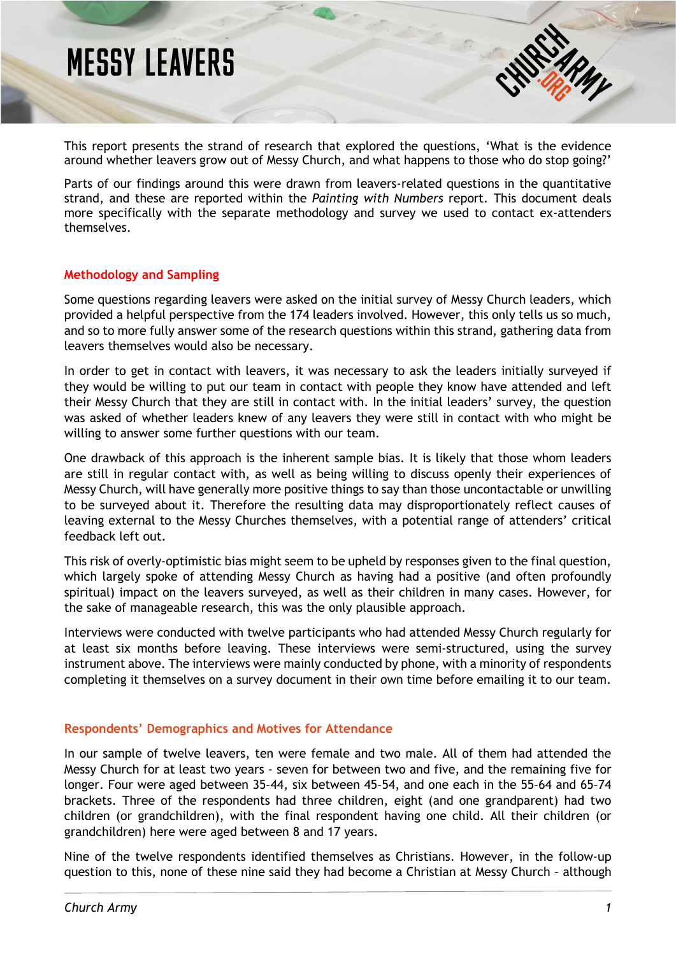# **MESSY LEAVERS**

This report presents the strand of research that explored the questions, 'What is the evidence around whether leavers grow out of Messy Church, and what happens to those who do stop going?'

Parts of our findings around this were drawn from leavers-related questions in the quantitative strand, and these are reported within the *Painting with Numbers* report. This document deals more specifically with the separate methodology and survey we used to contact ex-attenders themselves.

## **Methodology and Sampling**

Some questions regarding leavers were asked on the initial survey of Messy Church leaders, which provided a helpful perspective from the 174 leaders involved. However, this only tells us so much, and so to more fully answer some of the research questions within this strand, gathering data from leavers themselves would also be necessary.

In order to get in contact with leavers, it was necessary to ask the leaders initially surveyed if they would be willing to put our team in contact with people they know have attended and left their Messy Church that they are still in contact with. In the initial leaders' survey, the question was asked of whether leaders knew of any leavers they were still in contact with who might be willing to answer some further questions with our team.

One drawback of this approach is the inherent sample bias. It is likely that those whom leaders are still in regular contact with, as well as being willing to discuss openly their experiences of Messy Church, will have generally more positive things to say than those uncontactable or unwilling to be surveyed about it. Therefore the resulting data may disproportionately reflect causes of leaving external to the Messy Churches themselves, with a potential range of attenders' critical feedback left out.

This risk of overly-optimistic bias might seem to be upheld by responses given to the final question, which largely spoke of attending Messy Church as having had a positive (and often profoundly spiritual) impact on the leavers surveyed, as well as their children in many cases. However, for the sake of manageable research, this was the only plausible approach.

Interviews were conducted with twelve participants who had attended Messy Church regularly for at least six months before leaving. These interviews were semi-structured, using the survey instrument above. The interviews were mainly conducted by phone, with a minority of respondents completing it themselves on a survey document in their own time before emailing it to our team.

## **Respondents' Demographics and Motives for Attendance**

In our sample of twelve leavers, ten were female and two male. All of them had attended the Messy Church for at least two years - seven for between two and five, and the remaining five for longer. Four were aged between 35–44, six between 45–54, and one each in the 55–64 and 65–74 brackets. Three of the respondents had three children, eight (and one grandparent) had two children (or grandchildren), with the final respondent having one child. All their children (or grandchildren) here were aged between 8 and 17 years.

Nine of the twelve respondents identified themselves as Christians. However, in the follow-up question to this, none of these nine said they had become a Christian at Messy Church – although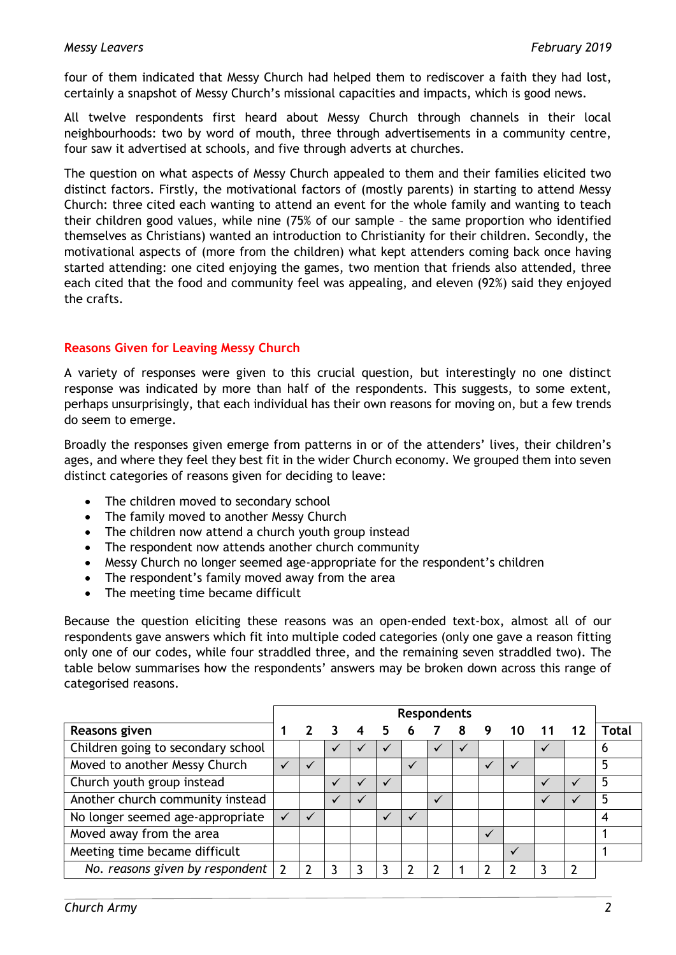four of them indicated that Messy Church had helped them to rediscover a faith they had lost, certainly a snapshot of Messy Church's missional capacities and impacts, which is good news.

All twelve respondents first heard about Messy Church through channels in their local neighbourhoods: two by word of mouth, three through advertisements in a community centre, four saw it advertised at schools, and five through adverts at churches.

The question on what aspects of Messy Church appealed to them and their families elicited two distinct factors. Firstly, the motivational factors of (mostly parents) in starting to attend Messy Church: three cited each wanting to attend an event for the whole family and wanting to teach their children good values, while nine (75% of our sample – the same proportion who identified themselves as Christians) wanted an introduction to Christianity for their children. Secondly, the motivational aspects of (more from the children) what kept attenders coming back once having started attending: one cited enjoying the games, two mention that friends also attended, three each cited that the food and community feel was appealing, and eleven (92%) said they enjoyed the crafts.

# **Reasons Given for Leaving Messy Church**

A variety of responses were given to this crucial question, but interestingly no one distinct response was indicated by more than half of the respondents. This suggests, to some extent, perhaps unsurprisingly, that each individual has their own reasons for moving on, but a few trends do seem to emerge.

Broadly the responses given emerge from patterns in or of the attenders' lives, their children's ages, and where they feel they best fit in the wider Church economy. We grouped them into seven distinct categories of reasons given for deciding to leave:

- The children moved to secondary school
- The family moved to another Messy Church
- The children now attend a church youth group instead
- The respondent now attends another church community
- Messy Church no longer seemed age-appropriate for the respondent's children
- The respondent's family moved away from the area
- The meeting time became difficult

Because the question eliciting these reasons was an open-ended text-box, almost all of our respondents gave answers which fit into multiple coded categories (only one gave a reason fitting only one of our codes, while four straddled three, and the remaining seven straddled two). The table below summarises how the respondents' answers may be broken down across this range of categorised reasons.

|                                    | <b>Respondents</b> |     |  |                  |  |              |              |  |   |       |                 |       |
|------------------------------------|--------------------|-----|--|------------------|--|--------------|--------------|--|---|-------|-----------------|-------|
| Reasons given                      | 1                  | 2 3 |  | $\boldsymbol{4}$ |  | 5 6 7 8 9 10 |              |  |   | $-11$ | $\overline{12}$ | Total |
| Children going to secondary school |                    |     |  |                  |  |              | $\checkmark$ |  |   |       |                 | 6     |
| Moved to another Messy Church      | $\checkmark$       |     |  |                  |  |              |              |  |   |       |                 | 5     |
| Church youth group instead         |                    |     |  |                  |  |              |              |  |   |       |                 | 5     |
| Another church community instead   |                    |     |  | $\checkmark$     |  |              | $\checkmark$ |  |   |       |                 | 5     |
| No longer seemed age-appropriate   |                    |     |  |                  |  |              |              |  |   |       |                 | 4     |
| Moved away from the area           |                    |     |  |                  |  |              |              |  |   |       |                 |       |
| Meeting time became difficult      |                    |     |  |                  |  |              |              |  | ✓ |       |                 |       |
| No. reasons given by respondent    | $\mathcal{L}$      |     |  |                  |  |              | າ            |  |   | ٦     | າ               |       |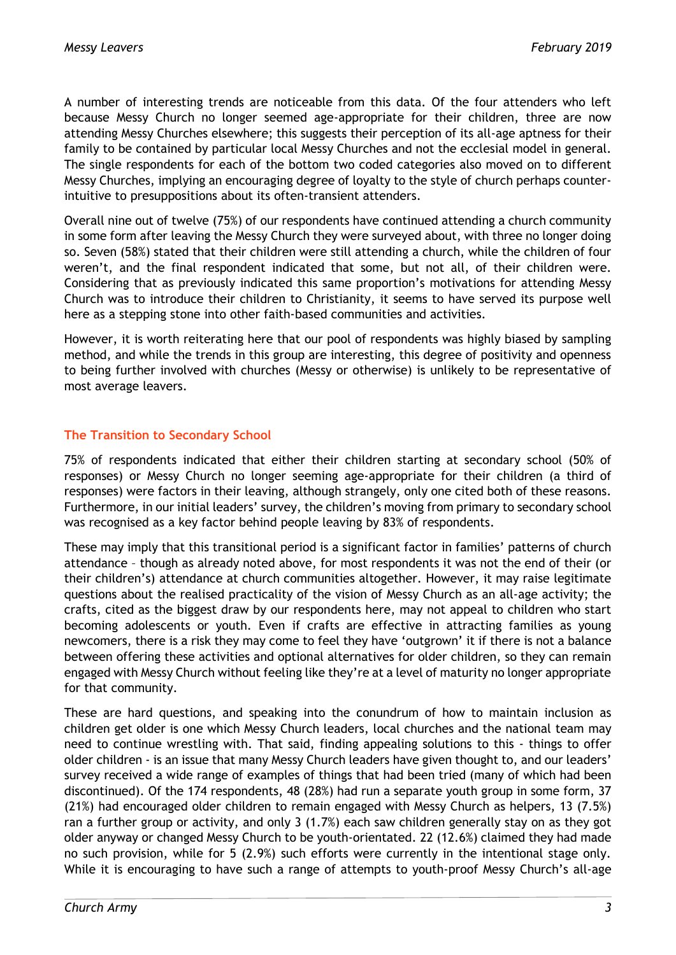A number of interesting trends are noticeable from this data. Of the four attenders who left because Messy Church no longer seemed age-appropriate for their children, three are now attending Messy Churches elsewhere; this suggests their perception of its all-age aptness for their family to be contained by particular local Messy Churches and not the ecclesial model in general. The single respondents for each of the bottom two coded categories also moved on to different Messy Churches, implying an encouraging degree of loyalty to the style of church perhaps counterintuitive to presuppositions about its often-transient attenders.

Overall nine out of twelve (75%) of our respondents have continued attending a church community in some form after leaving the Messy Church they were surveyed about, with three no longer doing so. Seven (58%) stated that their children were still attending a church, while the children of four weren't, and the final respondent indicated that some, but not all, of their children were. Considering that as previously indicated this same proportion's motivations for attending Messy Church was to introduce their children to Christianity, it seems to have served its purpose well here as a stepping stone into other faith-based communities and activities.

However, it is worth reiterating here that our pool of respondents was highly biased by sampling method, and while the trends in this group are interesting, this degree of positivity and openness to being further involved with churches (Messy or otherwise) is unlikely to be representative of most average leavers.

## **The Transition to Secondary School**

75% of respondents indicated that either their children starting at secondary school (50% of responses) or Messy Church no longer seeming age-appropriate for their children (a third of responses) were factors in their leaving, although strangely, only one cited both of these reasons. Furthermore, in our initial leaders' survey, the children's moving from primary to secondary school was recognised as a key factor behind people leaving by 83% of respondents.

These may imply that this transitional period is a significant factor in families' patterns of church attendance – though as already noted above, for most respondents it was not the end of their (or their children's) attendance at church communities altogether. However, it may raise legitimate questions about the realised practicality of the vision of Messy Church as an all-age activity; the crafts, cited as the biggest draw by our respondents here, may not appeal to children who start becoming adolescents or youth. Even if crafts are effective in attracting families as young newcomers, there is a risk they may come to feel they have 'outgrown' it if there is not a balance between offering these activities and optional alternatives for older children, so they can remain engaged with Messy Church without feeling like they're at a level of maturity no longer appropriate for that community.

These are hard questions, and speaking into the conundrum of how to maintain inclusion as children get older is one which Messy Church leaders, local churches and the national team may need to continue wrestling with. That said, finding appealing solutions to this - things to offer older children - is an issue that many Messy Church leaders have given thought to, and our leaders' survey received a wide range of examples of things that had been tried (many of which had been discontinued). Of the 174 respondents, 48 (28%) had run a separate youth group in some form, 37 (21%) had encouraged older children to remain engaged with Messy Church as helpers, 13 (7.5%) ran a further group or activity, and only 3 (1.7%) each saw children generally stay on as they got older anyway or changed Messy Church to be youth-orientated. 22 (12.6%) claimed they had made no such provision, while for 5 (2.9%) such efforts were currently in the intentional stage only. While it is encouraging to have such a range of attempts to youth-proof Messy Church's all-age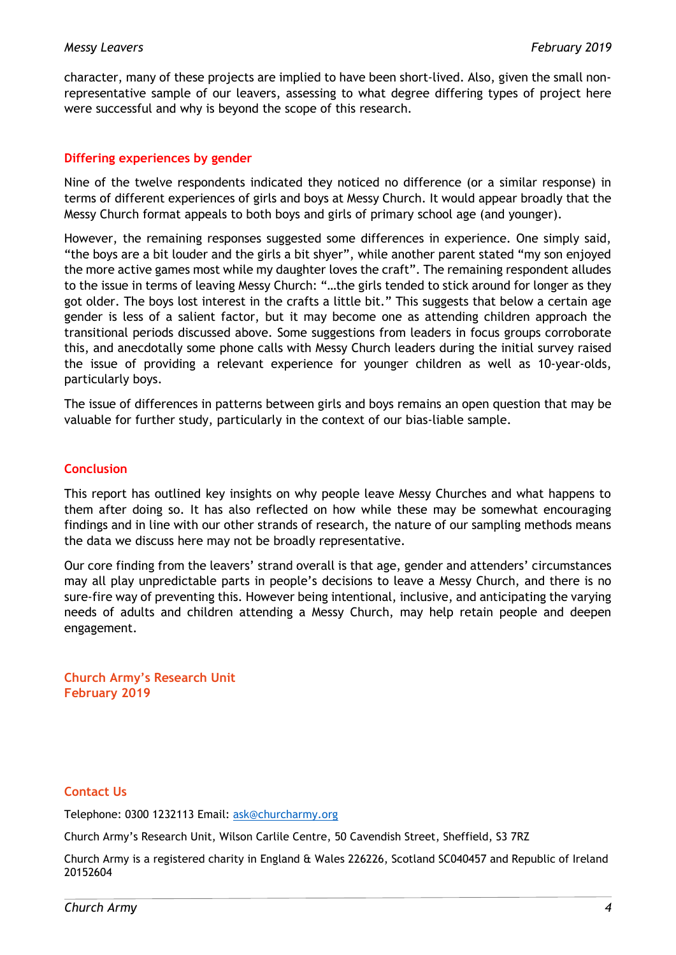character, many of these projects are implied to have been short-lived. Also, given the small nonrepresentative sample of our leavers, assessing to what degree differing types of project here were successful and why is beyond the scope of this research.

## **Differing experiences by gender**

Nine of the twelve respondents indicated they noticed no difference (or a similar response) in terms of different experiences of girls and boys at Messy Church. It would appear broadly that the Messy Church format appeals to both boys and girls of primary school age (and younger).

However, the remaining responses suggested some differences in experience. One simply said, "the boys are a bit louder and the girls a bit shyer", while another parent stated "my son enjoyed the more active games most while my daughter loves the craft". The remaining respondent alludes to the issue in terms of leaving Messy Church: "…the girls tended to stick around for longer as they got older. The boys lost interest in the crafts a little bit." This suggests that below a certain age gender is less of a salient factor, but it may become one as attending children approach the transitional periods discussed above. Some suggestions from leaders in focus groups corroborate this, and anecdotally some phone calls with Messy Church leaders during the initial survey raised the issue of providing a relevant experience for younger children as well as 10-year-olds, particularly boys.

The issue of differences in patterns between girls and boys remains an open question that may be valuable for further study, particularly in the context of our bias-liable sample.

## **Conclusion**

This report has outlined key insights on why people leave Messy Churches and what happens to them after doing so. It has also reflected on how while these may be somewhat encouraging findings and in line with our other strands of research, the nature of our sampling methods means the data we discuss here may not be broadly representative.

Our core finding from the leavers' strand overall is that age, gender and attenders' circumstances may all play unpredictable parts in people's decisions to leave a Messy Church, and there is no sure-fire way of preventing this. However being intentional, inclusive, and anticipating the varying needs of adults and children attending a Messy Church, may help retain people and deepen engagement.

**Church Army's Research Unit February 2019**

## **Contact Us**

Telephone: 0300 1232113 Email: [ask@churcharmy.org](mailto:ask@churcharmy.org)

Church Army's Research Unit, Wilson Carlile Centre, 50 Cavendish Street, Sheffield, S3 7RZ

Church Army is a registered charity in England & Wales 226226, Scotland SC040457 and Republic of Ireland 20152604